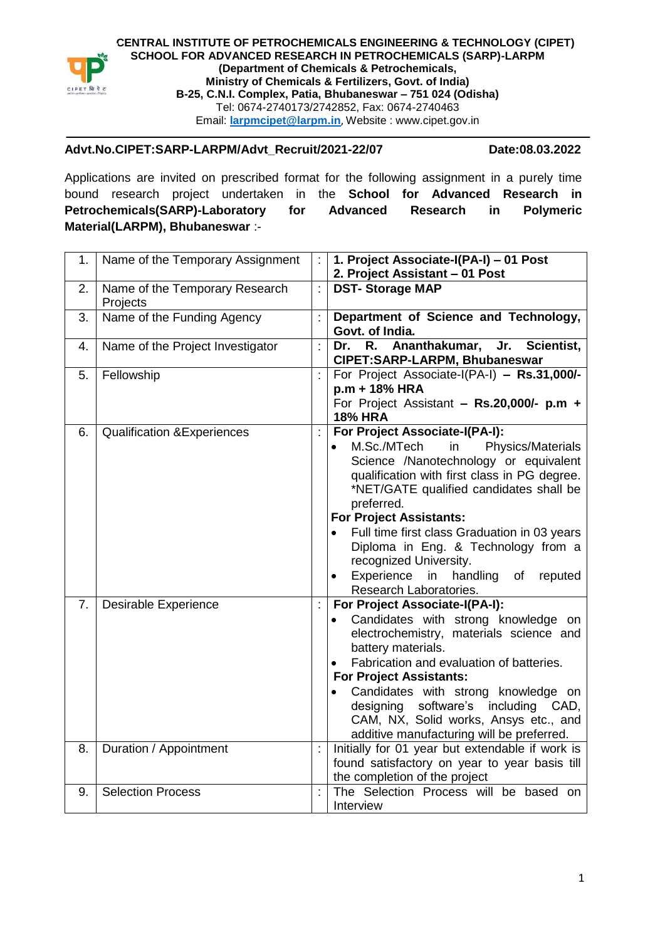

**CENTRAL INSTITUTE OF PETROCHEMICALS ENGINEERING & TECHNOLOGY (CIPET) SCHOOL FOR ADVANCED RESEARCH IN PETROCHEMICALS (SARP)-LARPM (Department of Chemicals & Petrochemicals, Ministry of Chemicals & Fertilizers, Govt. of India) B-25, C.N.I. Complex, Patia, Bhubaneswar – 751 024 (Odisha)** Tel: 0674-2740173/2742852, Fax: 0674-2740463 Email: **larpmcipet@larpm.in**, Website : www.cipet.gov.in

## **Advt.No.CIPET:SARP-LARPM/Advt\_Recruit/2021-22/07 Date:08.03.2022**

Applications are invited on prescribed format for the following assignment in a purely time bound research project undertaken in the **School for Advanced Research in Petrochemicals(SARP)-Laboratory for Advanced Research in Polymeric Material(LARPM), Bhubaneswar** :-

| 1.                   | Name of the Temporary Assignment           |                      | 1. Project Associate-I(PA-I) - 01 Post<br>2. Project Assistant - 01 Post                                                                                                                                                                                                                                                                                                                                                                           |
|----------------------|--------------------------------------------|----------------------|----------------------------------------------------------------------------------------------------------------------------------------------------------------------------------------------------------------------------------------------------------------------------------------------------------------------------------------------------------------------------------------------------------------------------------------------------|
| 2.                   | Name of the Temporary Research<br>Projects | $\ddot{\cdot}$       | <b>DST-Storage MAP</b>                                                                                                                                                                                                                                                                                                                                                                                                                             |
| $\overline{3}$ .     | Name of the Funding Agency                 | ċ                    | Department of Science and Technology,<br>Govt. of India.                                                                                                                                                                                                                                                                                                                                                                                           |
| 4.                   | Name of the Project Investigator           | ċ                    | Ananthakumar,<br>Dr.<br>R.<br>Jr.<br>Scientist,<br>CIPET:SARP-LARPM, Bhubaneswar                                                                                                                                                                                                                                                                                                                                                                   |
| 5.                   | Fellowship                                 |                      | For Project Associate-I(PA-I) - Rs.31,000/-<br>p.m + 18% HRA<br>For Project Assistant - $Rs.20,000/-$ p.m +<br><b>18% HRA</b>                                                                                                                                                                                                                                                                                                                      |
| 6.                   | <b>Qualification &amp; Experiences</b>     | $\ddot{\cdot}$       | For Project Associate-I(PA-I):<br>M.Sc./MTech<br>Physics/Materials<br>in<br>Science /Nanotechnology or equivalent<br>qualification with first class in PG degree.<br>*NET/GATE qualified candidates shall be<br>preferred.<br><b>For Project Assistants:</b><br>Full time first class Graduation in 03 years<br>Diploma in Eng. & Technology from a<br>recognized University.<br>Experience in handling<br>of<br>reputed<br>Research Laboratories. |
| 7 <sub>1</sub><br>8. | <b>Desirable Experience</b>                | $\ddot{\phantom{a}}$ | For Project Associate-I(PA-I):<br>Candidates with strong knowledge on<br>electrochemistry, materials science and<br>battery materials.<br>Fabrication and evaluation of batteries.<br><b>For Project Assistants:</b><br>Candidates with strong knowledge on<br>software's<br>including CAD,<br>designing<br>CAM, NX, Solid works, Ansys etc., and<br>additive manufacturing will be preferred.                                                     |
|                      | Duration / Appointment                     | ÷                    | Initially for 01 year but extendable if work is<br>found satisfactory on year to year basis till<br>the completion of the project                                                                                                                                                                                                                                                                                                                  |
| 9.                   | <b>Selection Process</b>                   |                      | The Selection Process will be based on<br>Interview                                                                                                                                                                                                                                                                                                                                                                                                |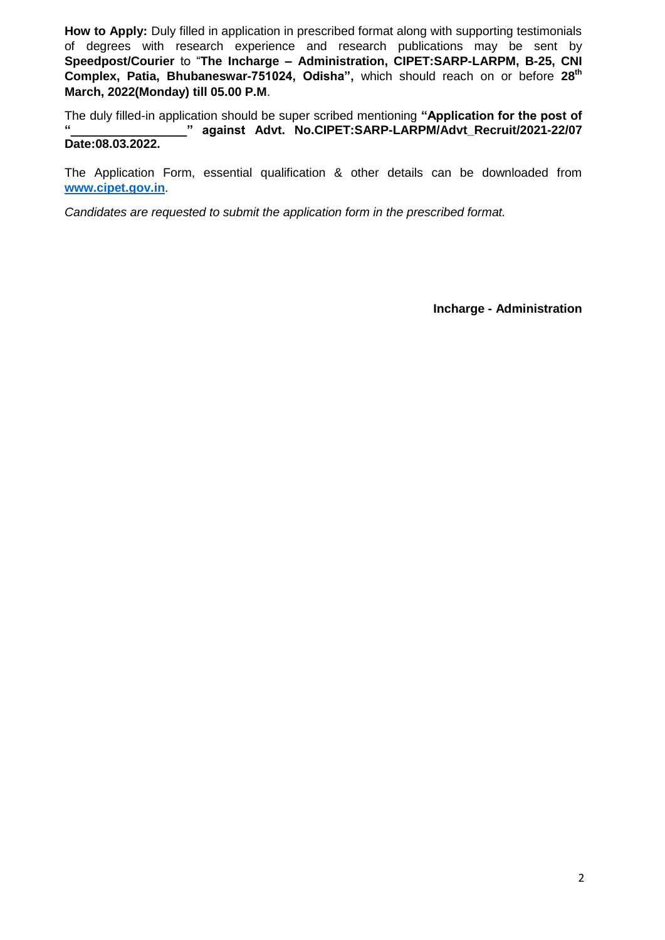**How to Apply:** Duly filled in application in prescribed format along with supporting testimonials of degrees with research experience and research publications may be sent by **Speedpost/Courier** to "**The Incharge – Administration, CIPET:SARP-LARPM, B-25, CNI Complex, Patia, Bhubaneswar-751024, Odisha",** which should reach on or before **28th March, 2022(Monday) till 05.00 P.M**.

The duly filled-in application should be super scribed mentioning **"Application for the post of "\_\_\_\_\_\_\_\_\_\_\_\_\_\_\_\_\_" against Advt. No.CIPET:SARP-LARPM/Advt\_Recruit/2021-22/07 Date:08.03.2022.**

The Application Form, essential qualification & other details can be downloaded from **www.cipet.gov.in**.

*Candidates are requested to submit the application form in the prescribed format.*

**Incharge - Administration**